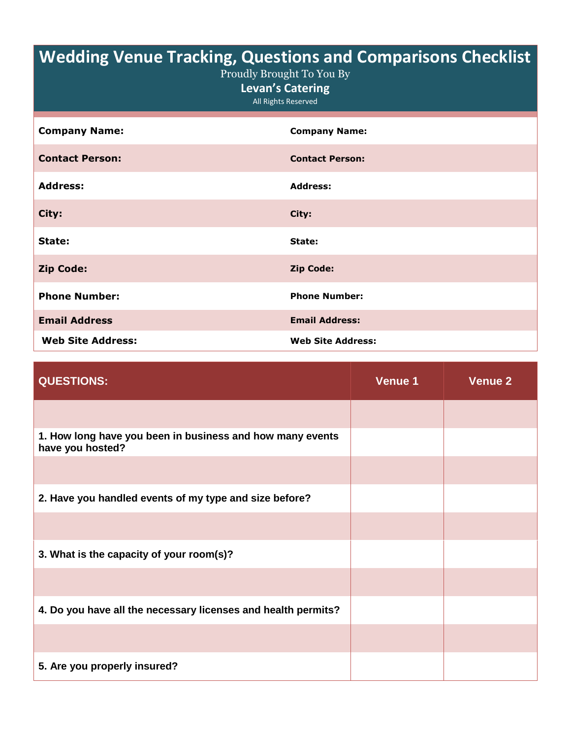## **Wedding Venue Tracking, Questions and Comparisons Checklist**

| Proudly Brought To You By |
|---------------------------|
|---------------------------|

**Levan's Catering**

All Rights Reserved

| <b>Company Name:</b>     | <b>Company Name:</b>     |
|--------------------------|--------------------------|
| <b>Contact Person:</b>   | <b>Contact Person:</b>   |
| <b>Address:</b>          | <b>Address:</b>          |
| City:                    | City:                    |
| State:                   | State:                   |
| <b>Zip Code:</b>         | <b>Zip Code:</b>         |
| <b>Phone Number:</b>     | <b>Phone Number:</b>     |
| <b>Email Address</b>     | <b>Email Address:</b>    |
| <b>Web Site Address:</b> | <b>Web Site Address:</b> |

| <b>QUESTIONS:</b>                                                             | Venue 1 | Venue 2 |
|-------------------------------------------------------------------------------|---------|---------|
|                                                                               |         |         |
| 1. How long have you been in business and how many events<br>have you hosted? |         |         |
|                                                                               |         |         |
| 2. Have you handled events of my type and size before?                        |         |         |
|                                                                               |         |         |
| 3. What is the capacity of your room(s)?                                      |         |         |
|                                                                               |         |         |
| 4. Do you have all the necessary licenses and health permits?                 |         |         |
|                                                                               |         |         |
| 5. Are you properly insured?                                                  |         |         |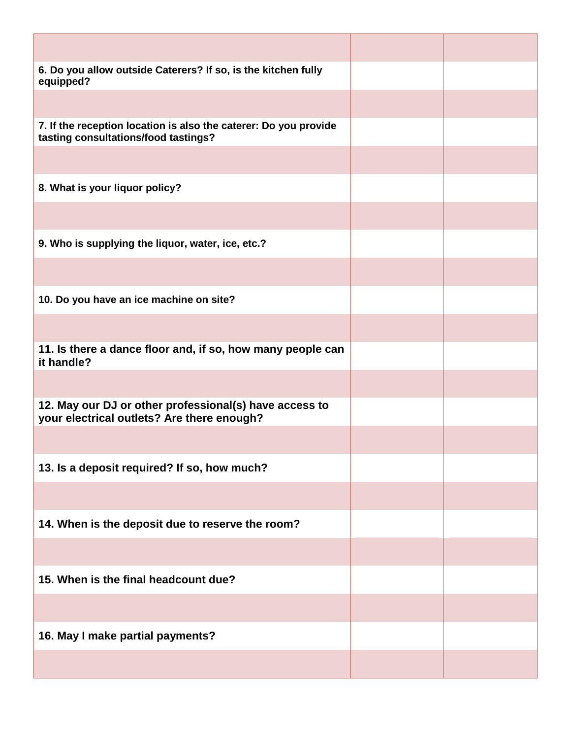| 6. Do you allow outside Caterers? If so, is the kitchen fully<br>equipped?                               |  |
|----------------------------------------------------------------------------------------------------------|--|
|                                                                                                          |  |
| 7. If the reception location is also the caterer: Do you provide<br>tasting consultations/food tastings? |  |
|                                                                                                          |  |
| 8. What is your liquor policy?                                                                           |  |
|                                                                                                          |  |
| 9. Who is supplying the liquor, water, ice, etc.?                                                        |  |
|                                                                                                          |  |
| 10. Do you have an ice machine on site?                                                                  |  |
|                                                                                                          |  |
| 11. Is there a dance floor and, if so, how many people can<br>it handle?                                 |  |
|                                                                                                          |  |
| 12. May our DJ or other professional(s) have access to<br>your electrical outlets? Are there enough?     |  |
|                                                                                                          |  |
| 13. Is a deposit required? If so, how much?                                                              |  |
|                                                                                                          |  |
| 14. When is the deposit due to reserve the room?                                                         |  |
|                                                                                                          |  |
| 15. When is the final headcount due?                                                                     |  |
|                                                                                                          |  |
| 16. May I make partial payments?                                                                         |  |
|                                                                                                          |  |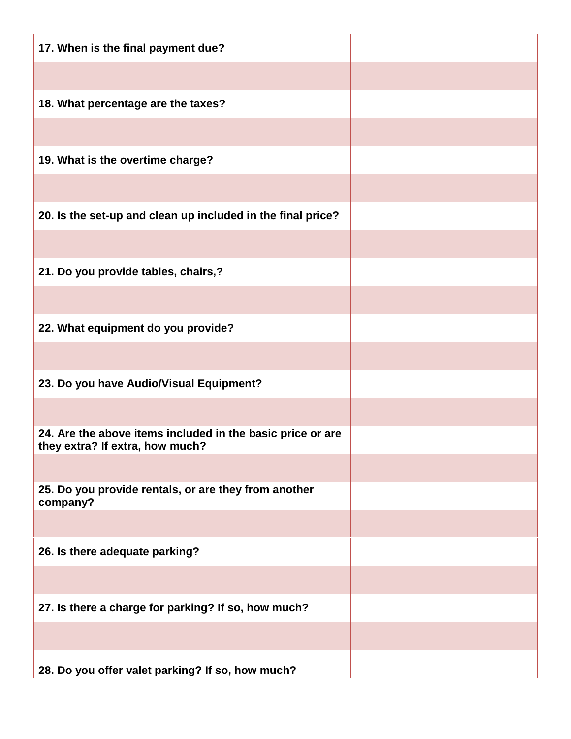| 17. When is the final payment due?                                                            |  |
|-----------------------------------------------------------------------------------------------|--|
|                                                                                               |  |
| 18. What percentage are the taxes?                                                            |  |
|                                                                                               |  |
| 19. What is the overtime charge?                                                              |  |
|                                                                                               |  |
| 20. Is the set-up and clean up included in the final price?                                   |  |
|                                                                                               |  |
| 21. Do you provide tables, chairs,?                                                           |  |
|                                                                                               |  |
| 22. What equipment do you provide?                                                            |  |
|                                                                                               |  |
| 23. Do you have Audio/Visual Equipment?                                                       |  |
|                                                                                               |  |
| 24. Are the above items included in the basic price or are<br>they extra? If extra, how much? |  |
|                                                                                               |  |
| 25. Do you provide rentals, or are they from another<br>company?                              |  |
|                                                                                               |  |
| 26. Is there adequate parking?                                                                |  |
|                                                                                               |  |
| 27. Is there a charge for parking? If so, how much?                                           |  |
|                                                                                               |  |
| 28. Do you offer valet parking? If so, how much?                                              |  |